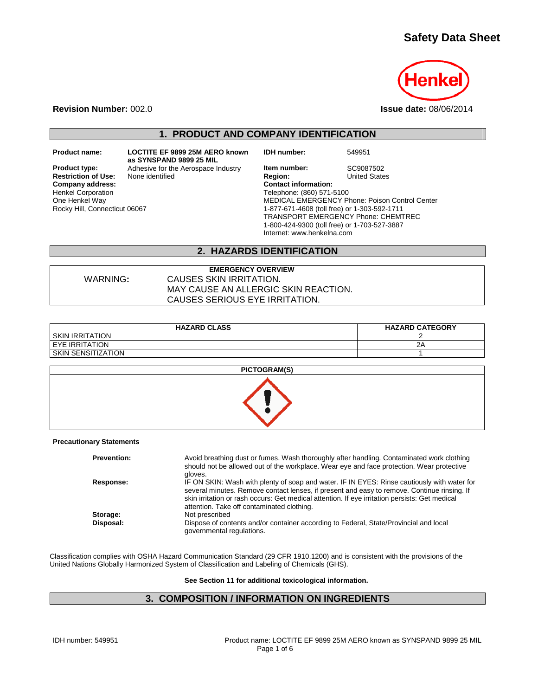# **Safety Data Sheet**



**Revision Number:** 002.0 **Issue date:** 08/06/2014

## **1. PRODUCT AND COMPANY IDENTIFICATION**

**Restriction of Use:** None identified Henkel Corporation One Henkel Way Rocky Hill, Connecticut 06067

**Product name: LOCTITE EF 9899 25M AERO known as SYNSPAND 9899 25 MIL Product type:** Adhesive for the Aerospace Industry **Item number:** SC9087502<br> **Restriction of Use:** None identified **Region:** Region: United States **Company address:** Company address: Company address: Company and Company and Company and Company and Company and Company and Company and Company and Company and Company and Company and Company and Company and Company and C

**IDH number:** 549951

Telephone: (860) 571-5100 MEDICAL EMERGENCY Phone: Poison Control Center 1-877-671-4608 (toll free) or 1-303-592-1711 TRANSPORT EMERGENCY Phone: CHEMTREC 1-800-424-9300 (toll free) or 1-703-527-3887 Internet: www.henkelna.com

# **2. HAZARDS IDENTIFICATION**

### **EMERGENCY OVERVIEW**  WARNING**:** CAUSES SKIN IRRITATION. MAY CAUSE AN ALLERGIC SKIN REACTION. CAUSES SERIOUS EYE IRRITATION.

| <b>HAZARD CLASS</b>  | <b>HAZARD CATEGORY</b> |
|----------------------|------------------------|
| I SKIN IRRITATION    |                        |
| I EYE IRRITATION     | 2P                     |
| I SKIN SENSITIZATION |                        |



#### **Precautionary Statements**

| <b>Prevention:</b> | Avoid breathing dust or fumes. Wash thoroughly after handling. Contaminated work clothing<br>should not be allowed out of the workplace. Wear eye and face protection. Wear protective<br>aloves.                                                                                                                                          |
|--------------------|--------------------------------------------------------------------------------------------------------------------------------------------------------------------------------------------------------------------------------------------------------------------------------------------------------------------------------------------|
| Response:          | IF ON SKIN: Wash with plenty of soap and water. IF IN EYES: Rinse cautiously with water for<br>several minutes. Remove contact lenses, if present and easy to remove. Continue rinsing. If<br>skin irritation or rash occurs: Get medical attention. If eye irritation persists: Get medical<br>attention. Take off contaminated clothing. |
| Storage:           | Not prescribed                                                                                                                                                                                                                                                                                                                             |
| Disposal:          | Dispose of contents and/or container according to Federal, State/Provincial and local<br>governmental regulations.                                                                                                                                                                                                                         |

Classification complies with OSHA Hazard Communication Standard (29 CFR 1910.1200) and is consistent with the provisions of the United Nations Globally Harmonized System of Classification and Labeling of Chemicals (GHS).

**See Section 11 for additional toxicological information.** 

## **3. COMPOSITION / INFORMATION ON INGREDIENTS**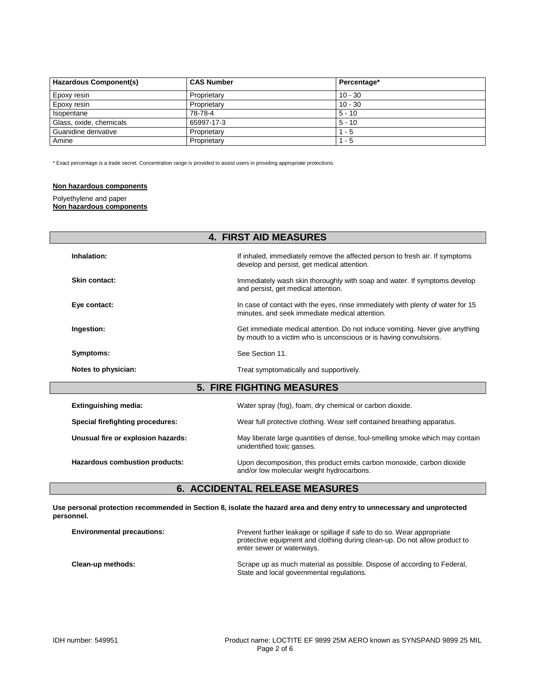| <b>Hazardous Component(s)</b> | <b>CAS Number</b> | Percentage* |
|-------------------------------|-------------------|-------------|
| Epoxy resin                   | Proprietary       | $10 - 30$   |
| Epoxy resin                   | Proprietary       | $10 - 30$   |
| Isopentane                    | 78-78-4           | $5 - 10$    |
| Glass, oxide, chemicals       | 65997-17-3        | $5 - 10$    |
| Guanidine derivative          | Proprietary       | $1 - 5$     |
| Amine                         | Proprietary       | $1 - 5$     |

\* Exact percentage is a trade secret. Concentration range is provided to assist users in providing appropriate protections.

#### **Non hazardous components**

### Polyethylene and paper

#### **Non hazardous components**

|                                         | <b>4. FIRST AID MEASURES</b>                                                                                                                      |
|-----------------------------------------|---------------------------------------------------------------------------------------------------------------------------------------------------|
| Inhalation:                             | If inhaled, immediately remove the affected person to fresh air. If symptoms<br>develop and persist, get medical attention.                       |
| <b>Skin contact:</b>                    | Immediately wash skin thoroughly with soap and water. If symptoms develop<br>and persist, get medical attention.                                  |
| Eye contact:                            | In case of contact with the eyes, rinse immediately with plenty of water for 15<br>minutes, and seek immediate medical attention.                 |
| Ingestion:                              | Get immediate medical attention. Do not induce vomiting. Never give anything<br>by mouth to a victim who is unconscious or is having convulsions. |
| Symptoms:                               | See Section 11.                                                                                                                                   |
| Notes to physician:                     | Treat symptomatically and supportively.                                                                                                           |
|                                         | <b>5. FIRE FIGHTING MEASURES</b>                                                                                                                  |
| <b>Extinguishing media:</b>             | Water spray (fog), foam, dry chemical or carbon dioxide.                                                                                          |
| <b>Special firefighting procedures:</b> | Wear full protective clothing. Wear self contained breathing apparatus.                                                                           |
| Unusual fire or explosion hazards:      | May liberate large quantities of dense, foul-smelling smoke which may contain<br>unidentified toxic gasses.                                       |
| Hazardous combustion products:          | Upon decomposition, this product emits carbon monoxide, carbon dioxide                                                                            |

## **6. ACCIDENTAL RELEASE MEASURES**

**Use personal protection recommended in Section 8, isolate the hazard area and deny entry to unnecessary and unprotected personnel.** 

| <b>Environmental precautions:</b> | Prevent further leakage or spillage if safe to do so. Wear appropriate<br>protective equipment and clothing during clean-up. Do not allow product to<br>enter sewer or waterways. |
|-----------------------------------|-----------------------------------------------------------------------------------------------------------------------------------------------------------------------------------|
| Clean-up methods:                 | Scrape up as much material as possible. Dispose of according to Federal,<br>State and local governmental regulations.                                                             |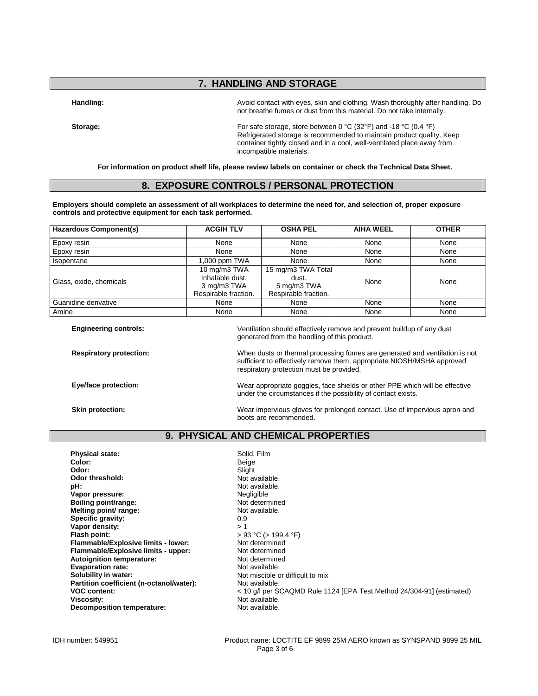# **7. HANDLING AND STORAGE**

**Handling:** Avoid contact with eyes, skin and clothing. Wash thoroughly after handling. Do not breathe fumes or dust from this material. Do not take internally.

Storage: Storage: For safe storage, store between 0 °C (32°F) and -18 °C (0.4 °F) Refrigerated storage is recommended to maintain product quality. Keep container tightly closed and in a cool, well-ventilated place away from incompatible materials.

**For information on product shelf life, please review labels on container or check the Technical Data Sheet.** 

## **8. EXPOSURE CONTROLS / PERSONAL PROTECTION**

**Employers should complete an assessment of all workplaces to determine the need for, and selection of, proper exposure controls and protective equipment for each task performed.** 

| <b>Hazardous Component(s)</b> | <b>ACGIH TLV</b>                                                       | <b>OSHA PEL</b>                                                    | <b>AIHA WEEL</b> | <b>OTHER</b> |
|-------------------------------|------------------------------------------------------------------------|--------------------------------------------------------------------|------------------|--------------|
| Epoxy resin                   | None                                                                   | None                                                               | None             | None         |
| Epoxy resin                   | None                                                                   | None                                                               | None             | None         |
| Isopentane                    | 1,000 ppm TWA                                                          | None                                                               | None             | None         |
| Glass, oxide, chemicals       | 10 mg/m3 TWA<br>Inhalable dust.<br>3 mg/m3 TWA<br>Respirable fraction. | 15 mg/m3 TWA Total<br>dust.<br>5 mg/m3 TWA<br>Respirable fraction. | None             | None         |
| Guanidine derivative          | None                                                                   | None                                                               | None             | None         |
| Amine                         | None                                                                   | None                                                               | None             | None         |

**Engineering controls:** Ventilation should effectively remove and prevent buildup of any dust generated from the handling of this product.

**Respiratory protection:** When dusts or thermal processing fumes are generated and ventilation is not sufficient to effectively remove them, appropriate NIOSH/MSHA approved

**Eye/face protection:** Wear appropriate goggles, face shields or other PPE which will be effective

under the circumstances if the possibility of contact exists.

**Skin protection:** Wear impervious gloves for prolonged contact. Use of impervious apron and boots are recommended.

### **9. PHYSICAL AND CHEMICAL PROPERTIES**

respiratory protection must be provided.

| <b>Physical state:</b>                   | Solid, Film                                                           |
|------------------------------------------|-----------------------------------------------------------------------|
| Color:                                   | Beige                                                                 |
| Odor:                                    | Slight                                                                |
| Odor threshold:                          | Not available.                                                        |
| pH:                                      | Not available.                                                        |
| Vapor pressure:                          | Negligible                                                            |
| Boiling point/range:                     | Not determined                                                        |
| Melting point/ range:                    | Not available.                                                        |
| Specific gravity:                        | 0.9                                                                   |
| Vapor density:                           | > 1                                                                   |
| Flash point:                             | $> 93$ °C ( $> 199.4$ °F)                                             |
| Flammable/Explosive limits - lower:      | Not determined                                                        |
| Flammable/Explosive limits - upper:      | Not determined                                                        |
| <b>Autoignition temperature:</b>         | Not determined                                                        |
|                                          |                                                                       |
| <b>Evaporation rate:</b>                 | Not available.                                                        |
| Solubility in water:                     | Not miscible or difficult to mix                                      |
| Partition coefficient (n-octanol/water): | Not available.                                                        |
| <b>VOC content:</b>                      | < 10 g/l per SCAQMD Rule 1124 [EPA Test Method 24/304-91] (estimated) |
| Viscosity:                               | Not available.                                                        |
| Decomposition temperature:               | Not available.                                                        |

IDH number: 549951 Product name: LOCTITE EF 9899 25M AERO known as SYNSPAND 9899 25 MIL Page 3 of 6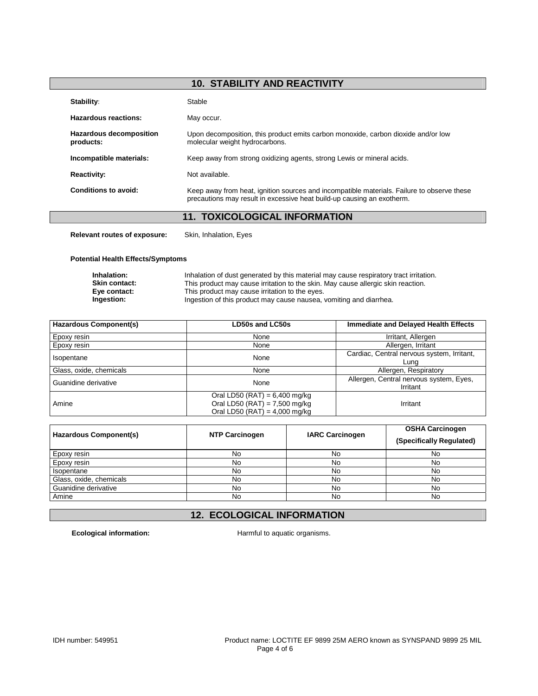# **10. STABILITY AND REACTIVITY**

| Stability:                                  | Stable                                                                                                                                                               |
|---------------------------------------------|----------------------------------------------------------------------------------------------------------------------------------------------------------------------|
| Hazardous reactions:                        | May occur.                                                                                                                                                           |
| <b>Hazardous decomposition</b><br>products: | Upon decomposition, this product emits carbon monoxide, carbon dioxide and/or low<br>molecular weight hydrocarbons.                                                  |
| Incompatible materials:                     | Keep away from strong oxidizing agents, strong Lewis or mineral acids.                                                                                               |
| <b>Reactivity:</b>                          | Not available.                                                                                                                                                       |
| Conditions to avoid:                        | Keep away from heat, ignition sources and incompatible materials. Failure to observe these<br>precautions may result in excessive heat build-up causing an exotherm. |
|                                             | 11. TOXICOLOGICAL INFORMATION                                                                                                                                        |

**Relevant routes of exposure:** Skin, Inhalation, Eyes

### **Potential Health Effects/Symptoms**

| Inhalation:          | Inhalation of dust generated by this material may cause respiratory tract irritation. |
|----------------------|---------------------------------------------------------------------------------------|
| <b>Skin contact:</b> | This product may cause irritation to the skin. May cause allergic skin reaction.      |
| Eve contact:         | This product may cause irritation to the eyes.                                        |
| Ingestion:           | Ingestion of this product may cause nausea, vomiting and diarrhea.                    |

| <b>Hazardous Component(s)</b> | <b>LD50s and LC50s</b>          | <b>Immediate and Delayed Health Effects</b> |  |
|-------------------------------|---------------------------------|---------------------------------------------|--|
| Epoxy resin                   | None                            | Irritant, Allergen                          |  |
| Epoxy resin                   | None                            | Allergen, Irritant                          |  |
| Isopentane                    | None                            | Cardiac, Central nervous system, Irritant,  |  |
|                               |                                 | Luna                                        |  |
| Glass, oxide, chemicals       | None                            | Allergen, Respiratory                       |  |
| Guanidine derivative          | None                            | Allergen, Central nervous system, Eyes,     |  |
|                               |                                 | Irritant                                    |  |
|                               | Oral LD50 (RAT) = $6,400$ mg/kg |                                             |  |
| Amine                         | Oral LD50 (RAT) = $7,500$ mg/kg | Irritant                                    |  |
|                               | Oral LD50 (RAT) = $4,000$ mg/kg |                                             |  |

| Hazardous Component(s)  | <b>NTP Carcinogen</b> | <b>IARC Carcinogen</b> | <b>OSHA Carcinogen</b><br>(Specifically Regulated) |
|-------------------------|-----------------------|------------------------|----------------------------------------------------|
| Epoxy resin             | No                    | No                     | No                                                 |
| Epoxy resin             | No                    | No                     | No                                                 |
| Isopentane              | No                    | No                     | No                                                 |
| Glass, oxide, chemicals | No                    | No                     | No                                                 |
| Guanidine derivative    | No                    | No                     | No                                                 |
| Amine                   | No                    | No                     | No                                                 |

# **12. ECOLOGICAL INFORMATION**

**Ecological information:** Harmful to aquatic organisms.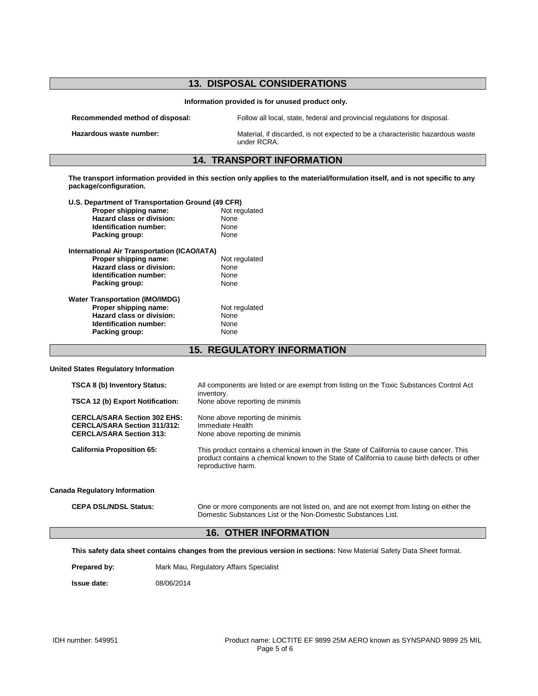# **13. DISPOSAL CONSIDERATIONS Information provided is for unused product only. Recommended method of disposal:** Follow all local, state, federal and provincial regulations for disposal. **Hazardous waste number:** Material, if discarded, is not expected to be a characteristic hazardous waste under RCRA. **14. TRANSPORT INFORMATION The transport information provided in this section only applies to the material/formulation itself, and is not specific to any package/configuration. U.S. Department of Transportation Ground (49 CFR) Proper shipping name: Hazard class or division:** None **Identification number:** None<br> **Packing group:** None **Packing group: International Air Transportation (ICAO/IATA) Proper shipping name:** Not regulated **Hazard class or division:** None **Identification number:** None Packing group: None **Water Transportation (IMO/IMDG) Proper shipping name:** Not regulated **Hazard class or division:** None **Identification number: None**<br> **Packing group: None Packing group: 15. REGULATORY INFORMATION**

#### **United States Regulatory Information**

| <b>TSCA 8 (b) Inventory Status:</b>                                                                           | All components are listed or are exempt from listing on the Toxic Substances Control Act                                                                                                                      |
|---------------------------------------------------------------------------------------------------------------|---------------------------------------------------------------------------------------------------------------------------------------------------------------------------------------------------------------|
| TSCA 12 (b) Export Notification:                                                                              | inventory.<br>None above reporting de minimis                                                                                                                                                                 |
| <b>CERCLA/SARA Section 302 EHS:</b><br><b>CERCLA/SARA Section 311/312:</b><br><b>CERCLA/SARA Section 313:</b> | None above reporting de minimis<br>Immediate Health<br>None above reporting de minimis                                                                                                                        |
| <b>California Proposition 65:</b>                                                                             | This product contains a chemical known in the State of California to cause cancer. This<br>product contains a chemical known to the State of California to cause birth defects or other<br>reproductive harm. |
| <b>Canada Regulatory Information</b>                                                                          |                                                                                                                                                                                                               |
| <b>CEPA DSL/NDSL Status:</b>                                                                                  | One or more components are not listed on, and are not exempt from listing on either the<br>Domestic Substances List or the Non-Domestic Substances List.                                                      |

## **16. OTHER INFORMATION**

**This safety data sheet contains changes from the previous version in sections:** New Material Safety Data Sheet format.

Prepared by: Mark Mau, Regulatory Affairs Specialist

**Issue date:** 08/06/2014